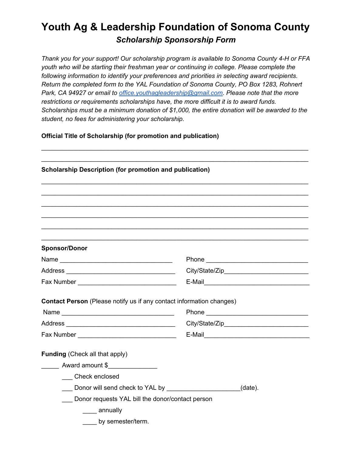## **Youth Ag & Leadership Foundation of Sonoma County** *Scholarship Sponsorship Form*

*Thank you for your support! Our scholarship program is available to Sonoma County 4-H or FFA youth who will be starting their freshman year or continuing in college. Please complete the following information to identify your preferences and priorities in selecting award recipients. Return the completed form to the YAL Foundation of Sonoma County, PO Box 1283, Rohnert Park, CA 94927 or email to [office.youthagleadership@gmail.com.](mailto:office.youthagleadership@gmail.com) Please note that the more restrictions or requirements scholarships have, the more difficult it is to award funds. Scholarships must be a minimum donation of \$1,000, the entire donation will be awarded to the student, no fees for administering your scholarship.*

\_\_\_\_\_\_\_\_\_\_\_\_\_\_\_\_\_\_\_\_\_\_\_\_\_\_\_\_\_\_\_\_\_\_\_\_\_\_\_\_\_\_\_\_\_\_\_\_\_\_\_\_\_\_\_\_\_\_\_\_\_\_\_\_\_\_\_\_\_\_\_\_\_\_\_\_

**Official Title of Scholarship (for promotion and publication)**

| <b>Scholarship Description (for promotion and publication)</b>              |  |
|-----------------------------------------------------------------------------|--|
|                                                                             |  |
|                                                                             |  |
|                                                                             |  |
|                                                                             |  |
|                                                                             |  |
| <b>Sponsor/Donor</b>                                                        |  |
|                                                                             |  |
|                                                                             |  |
|                                                                             |  |
|                                                                             |  |
| <b>Contact Person</b> (Please notify us if any contact information changes) |  |
|                                                                             |  |
|                                                                             |  |
|                                                                             |  |
|                                                                             |  |
|                                                                             |  |
| <b>Funding (Check all that apply)</b>                                       |  |
| Award amount \$                                                             |  |
| Check enclosed                                                              |  |
| Let Donor will send check to YAL by Let Donor Controllery (date).           |  |
| Donor requests YAL bill the donor/contact person<br>____ annually           |  |